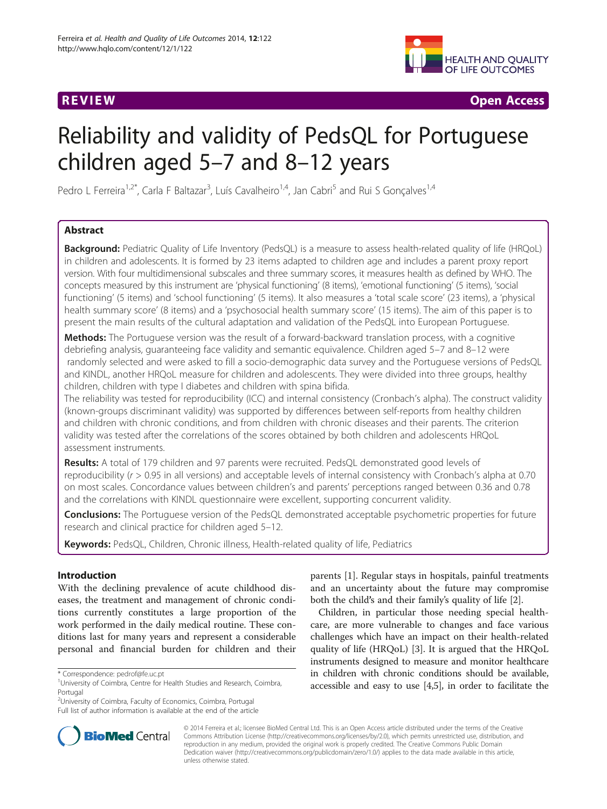

**REVIEW CONSTRUCTION CONSTRUCTION CONSTRUCTS** 

# Reliability and validity of PedsQL for Portuguese children aged 5–7 and 8–12 years

Pedro L Ferreira<sup>1,2\*</sup>, Carla F Baltazar<sup>3</sup>, Luís Cavalheiro<sup>1,4</sup>, Jan Cabri<sup>5</sup> and Rui S Gonçalves<sup>1,4</sup>

# Abstract

Background: Pediatric Quality of Life Inventory (PedsQL) is a measure to assess health-related quality of life (HRQoL) in children and adolescents. It is formed by 23 items adapted to children age and includes a parent proxy report version. With four multidimensional subscales and three summary scores, it measures health as defined by WHO. The concepts measured by this instrument are 'physical functioning' (8 items), 'emotional functioning' (5 items), 'social functioning' (5 items) and 'school functioning' (5 items). It also measures a 'total scale score' (23 items), a 'physical health summary score' (8 items) and a 'psychosocial health summary score' (15 items). The aim of this paper is to present the main results of the cultural adaptation and validation of the PedsQL into European Portuguese.

Methods: The Portuguese version was the result of a forward-backward translation process, with a cognitive debriefing analysis, guaranteeing face validity and semantic equivalence. Children aged 5–7 and 8–12 were randomly selected and were asked to fill a socio-demographic data survey and the Portuguese versions of PedsQL and KINDL, another HRQoL measure for children and adolescents. They were divided into three groups, healthy children, children with type I diabetes and children with spina bifida.

The reliability was tested for reproducibility (ICC) and internal consistency (Cronbach's alpha). The construct validity (known-groups discriminant validity) was supported by differences between self-reports from healthy children and children with chronic conditions, and from children with chronic diseases and their parents. The criterion validity was tested after the correlations of the scores obtained by both children and adolescents HRQoL assessment instruments.

Results: A total of 179 children and 97 parents were recruited. PedsQL demonstrated good levels of reproducibility (r > 0.95 in all versions) and acceptable levels of internal consistency with Cronbach's alpha at 0.70 on most scales. Concordance values between children's and parents' perceptions ranged between 0.36 and 0.78 and the correlations with KINDL questionnaire were excellent, supporting concurrent validity.

**Conclusions:** The Portuguese version of the PedsQL demonstrated acceptable psychometric properties for future research and clinical practice for children aged 5–12.

Keywords: PedsQL, Children, Chronic illness, Health-related quality of life, Pediatrics

# Introduction

With the declining prevalence of acute childhood diseases, the treatment and management of chronic conditions currently constitutes a large proportion of the work performed in the daily medical routine. These conditions last for many years and represent a considerable personal and financial burden for children and their

parents [\[1](#page-6-0)]. Regular stays in hospitals, painful treatments and an uncertainty about the future may compromise both the child's and their family's quality of life [[2](#page-6-0)].

Children, in particular those needing special healthcare, are more vulnerable to changes and face various challenges which have an impact on their health-related quality of life (HRQoL) [\[3](#page-6-0)]. It is argued that the HRQoL instruments designed to measure and monitor healthcare in children with chronic conditions should be available, accessible and easy to use [[4,5](#page-6-0)], in order to facilitate the



© 2014 Ferreira et al.; licensee BioMed Central Ltd. This is an Open Access article distributed under the terms of the Creative Commons Attribution License [\(http://creativecommons.org/licenses/by/2.0\)](http://creativecommons.org/licenses/by/2.0), which permits unrestricted use, distribution, and reproduction in any medium, provided the original work is properly credited. The Creative Commons Public Domain Dedication waiver [\(http://creativecommons.org/publicdomain/zero/1.0/](http://creativecommons.org/publicdomain/zero/1.0/)) applies to the data made available in this article, unless otherwise stated.

<sup>\*</sup> Correspondence: [pedrof@fe.uc.pt](mailto:pedrof@fe.uc.pt) <sup>1</sup>

University of Coimbra, Centre for Health Studies and Research, Coimbra, Portugal

<sup>2</sup> University of Coimbra, Faculty of Economics, Coimbra, Portugal Full list of author information is available at the end of the article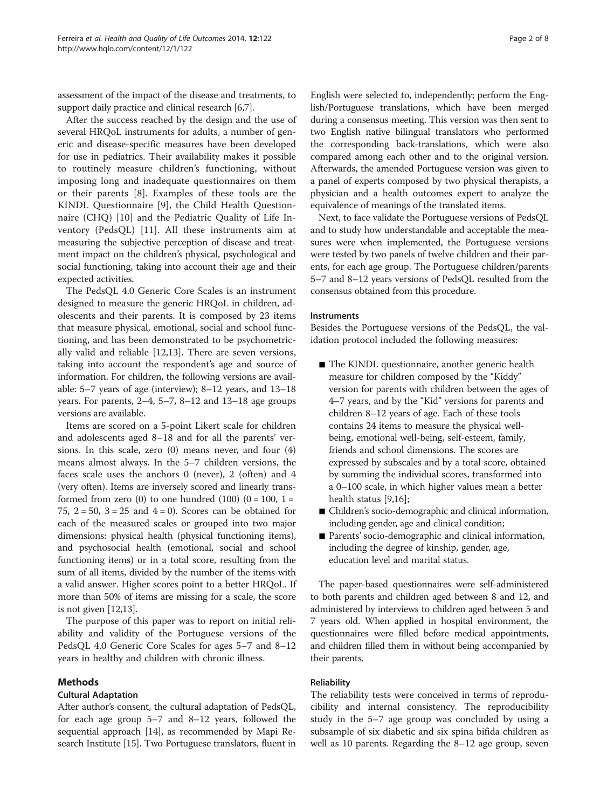assessment of the impact of the disease and treatments, to support daily practice and clinical research [[6,7\]](#page-6-0).

After the success reached by the design and the use of several HRQoL instruments for adults, a number of generic and disease-specific measures have been developed for use in pediatrics. Their availability makes it possible to routinely measure children's functioning, without imposing long and inadequate questionnaires on them or their parents [\[8](#page-6-0)]. Examples of these tools are the KINDL Questionnaire [[9\]](#page-6-0), the Child Health Questionnaire (CHQ) [\[10](#page-6-0)] and the Pediatric Quality of Life Inventory (PedsQL) [\[11](#page-6-0)]. All these instruments aim at measuring the subjective perception of disease and treatment impact on the children's physical, psychological and social functioning, taking into account their age and their expected activities.

The PedsQL 4.0 Generic Core Scales is an instrument designed to measure the generic HRQoL in children, adolescents and their parents. It is composed by 23 items that measure physical, emotional, social and school functioning, and has been demonstrated to be psychometrically valid and reliable [\[12,13\]](#page-6-0). There are seven versions, taking into account the respondent's age and source of information. For children, the following versions are available: 5–7 years of age (interview); 8–12 years, and 13–18 years. For parents, 2–4, 5–7, 8–12 and 13–18 age groups versions are available.

Items are scored on a 5-point Likert scale for children and adolescents aged 8–18 and for all the parents' versions. In this scale, zero (0) means never, and four (4) means almost always. In the 5–7 children versions, the faces scale uses the anchors 0 (never), 2 (often) and 4 (very often). Items are inversely scored and linearly transformed from zero (0) to one hundred (100)  $(0 = 100, 1 =$ 75,  $2 = 50$ ,  $3 = 25$  and  $4 = 0$ ). Scores can be obtained for each of the measured scales or grouped into two major dimensions: physical health (physical functioning items), and psychosocial health (emotional, social and school functioning items) or in a total score, resulting from the sum of all items, divided by the number of the items with a valid answer. Higher scores point to a better HRQoL. If more than 50% of items are missing for a scale, the score is not given [\[12,13\]](#page-6-0).

The purpose of this paper was to report on initial reliability and validity of the Portuguese versions of the PedsQL 4.0 Generic Core Scales for ages 5–7 and 8–12 years in healthy and children with chronic illness.

# Methods

# Cultural Adaptation

After author's consent, the cultural adaptation of PedsQL, for each age group 5–7 and 8–12 years, followed the sequential approach [\[14\]](#page-6-0), as recommended by Mapi Research Institute [\[15\]](#page-6-0). Two Portuguese translators, fluent in

English were selected to, independently; perform the English/Portuguese translations, which have been merged during a consensus meeting. This version was then sent to two English native bilingual translators who performed the corresponding back-translations, which were also compared among each other and to the original version. Afterwards, the amended Portuguese version was given to a panel of experts composed by two physical therapists, a physician and a health outcomes expert to analyze the equivalence of meanings of the translated items.

Next, to face validate the Portuguese versions of PedsQL and to study how understandable and acceptable the measures were when implemented, the Portuguese versions were tested by two panels of twelve children and their parents, for each age group. The Portuguese children/parents 5–7 and 8–12 years versions of PedsQL resulted from the consensus obtained from this procedure.

# **Instruments**

Besides the Portuguese versions of the PedsQL, the validation protocol included the following measures:

- The KINDL questionnaire, another generic health measure for children composed by the "Kiddy" version for parents with children between the ages of 4–7 years, and by the "Kid" versions for parents and children 8–12 years of age. Each of these tools contains 24 items to measure the physical wellbeing, emotional well-being, self-esteem, family, friends and school dimensions. The scores are expressed by subscales and by a total score, obtained by summing the individual scores, transformed into a 0–100 scale, in which higher values mean a better health status [[9,16\]](#page-6-0);
- Children's socio-demographic and clinical information, including gender, age and clinical condition;
- Parents' socio-demographic and clinical information, including the degree of kinship, gender, age, education level and marital status.

The paper-based questionnaires were self-administered to both parents and children aged between 8 and 12, and administered by interviews to children aged between 5 and 7 years old. When applied in hospital environment, the questionnaires were filled before medical appointments, and children filled them in without being accompanied by their parents.

# Reliability

The reliability tests were conceived in terms of reproducibility and internal consistency. The reproducibility study in the 5–7 age group was concluded by using a subsample of six diabetic and six spina bifida children as well as 10 parents. Regarding the 8–12 age group, seven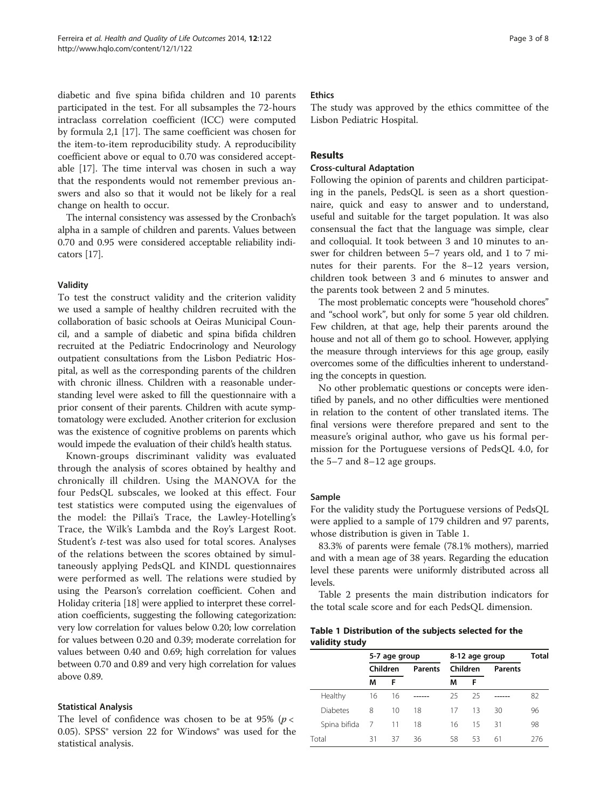diabetic and five spina bifida children and 10 parents participated in the test. For all subsamples the 72-hours intraclass correlation coefficient (ICC) were computed by formula 2,1 [[17](#page-6-0)]. The same coefficient was chosen for the item-to-item reproducibility study. A reproducibility coefficient above or equal to 0.70 was considered acceptable [[17](#page-6-0)]. The time interval was chosen in such a way that the respondents would not remember previous answers and also so that it would not be likely for a real change on health to occur.

The internal consistency was assessed by the Cronbach's alpha in a sample of children and parents. Values between 0.70 and 0.95 were considered acceptable reliability indicators [\[17](#page-6-0)].

# Validity

To test the construct validity and the criterion validity we used a sample of healthy children recruited with the collaboration of basic schools at Oeiras Municipal Council, and a sample of diabetic and spina bifida children recruited at the Pediatric Endocrinology and Neurology outpatient consultations from the Lisbon Pediatric Hospital, as well as the corresponding parents of the children with chronic illness. Children with a reasonable understanding level were asked to fill the questionnaire with a prior consent of their parents. Children with acute symptomatology were excluded. Another criterion for exclusion was the existence of cognitive problems on parents which would impede the evaluation of their child's health status.

Known-groups discriminant validity was evaluated through the analysis of scores obtained by healthy and chronically ill children. Using the MANOVA for the four PedsQL subscales, we looked at this effect. Four test statistics were computed using the eigenvalues of the model: the Pillai's Trace, the Lawley-Hotelling's Trace, the Wilk's Lambda and the Roy's Largest Root. Student's t-test was also used for total scores. Analyses of the relations between the scores obtained by simultaneously applying PedsQL and KINDL questionnaires were performed as well. The relations were studied by using the Pearson's correlation coefficient. Cohen and Holiday criteria [\[18\]](#page-6-0) were applied to interpret these correlation coefficients, suggesting the following categorization: very low correlation for values below 0.20; low correlation for values between 0.20 and 0.39; moderate correlation for values between 0.40 and 0.69; high correlation for values between 0.70 and 0.89 and very high correlation for values above 0.89.

# Statistical Analysis

The level of confidence was chosen to be at 95% ( $p <$ 0.05). SPSS<sup>®</sup> version 22 for Windows<sup>®</sup> was used for the statistical analysis.

# **Ethics**

The study was approved by the ethics committee of the Lisbon Pediatric Hospital.

# Results

# Cross-cultural Adaptation

Following the opinion of parents and children participating in the panels, PedsQL is seen as a short questionnaire, quick and easy to answer and to understand, useful and suitable for the target population. It was also consensual the fact that the language was simple, clear and colloquial. It took between 3 and 10 minutes to answer for children between 5–7 years old, and 1 to 7 minutes for their parents. For the 8–12 years version, children took between 3 and 6 minutes to answer and the parents took between 2 and 5 minutes.

The most problematic concepts were "household chores" and "school work", but only for some 5 year old children. Few children, at that age, help their parents around the house and not all of them go to school. However, applying the measure through interviews for this age group, easily overcomes some of the difficulties inherent to understanding the concepts in question.

No other problematic questions or concepts were identified by panels, and no other difficulties were mentioned in relation to the content of other translated items. The final versions were therefore prepared and sent to the measure's original author, who gave us his formal permission for the Portuguese versions of PedsQL 4.0, for the 5–7 and 8–12 age groups.

# Sample

For the validity study the Portuguese versions of PedsQL were applied to a sample of 179 children and 97 parents, whose distribution is given in Table 1.

83.3% of parents were female (78.1% mothers), married and with a mean age of 38 years. Regarding the education level these parents were uniformly distributed across all levels.

Table [2](#page-3-0) presents the main distribution indicators for the total scale score and for each PedsQL dimension.

# Table 1 Distribution of the subjects selected for the validity study

|                 | 5-7 age group |     |                |    | 8-12 age group             |    |     |  |
|-----------------|---------------|-----|----------------|----|----------------------------|----|-----|--|
|                 | Children      |     | <b>Parents</b> |    | Children<br><b>Parents</b> |    |     |  |
|                 | М             | F   |                | М  | F                          |    |     |  |
| Healthy         | 16            | 16  |                | 25 | 25                         |    | 82  |  |
| <b>Diabetes</b> | 8             | 10  | 18             | 17 | 13                         | 30 | 96  |  |
| Spina bifida    | 7             | -11 | 18             | 16 | 15                         | 31 | 98  |  |
| Total           | 31            | 37  | 36             | 58 | 53                         | 61 | 276 |  |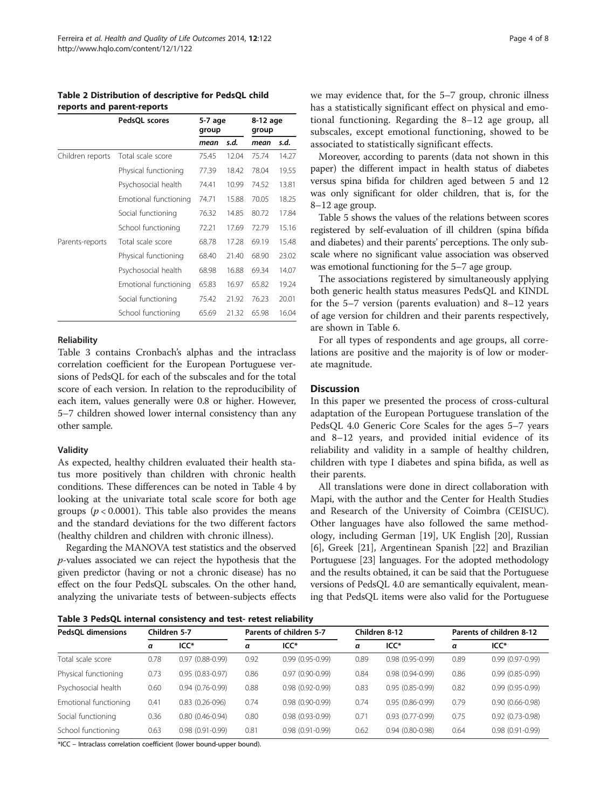<span id="page-3-0"></span>Table 2 Distribution of descriptive for PedsQL child reports and parent-reports

|                  | PedsQL scores         | 5-7 age<br>group |       | 8-12 age<br>group |       |  |
|------------------|-----------------------|------------------|-------|-------------------|-------|--|
|                  |                       | mean             | s.d.  | mean              | s.d.  |  |
| Children reports | Total scale score     | 75.45            | 12.04 | 75.74             | 14.27 |  |
|                  | Physical functioning  | 77.39            | 18.42 | 78.04             | 19.55 |  |
|                  | Psychosocial health   | 74.41            | 10.99 | 74.52             | 13.81 |  |
|                  | Emotional functioning | 74.71            | 15.88 | 70.05             | 18.25 |  |
|                  | Social functioning    | 76.32            | 14.85 | 80.72             | 17.84 |  |
|                  | School functioning    | 72.21            | 17.69 | 72.79             | 15.16 |  |
| Parents-reports  | Total scale score     | 68.78            | 17.28 | 69.19             | 15.48 |  |
|                  | Physical functioning  | 68.40            | 21.40 | 68.90             | 23.02 |  |
|                  | Psychosocial health   | 68.98            | 16.88 | 69.34             | 14.07 |  |
|                  | Emotional functioning | 65.83            | 16.97 | 65.82             | 19.24 |  |
|                  | Social functioning    | 75.42            | 21.92 | 76.23             | 20.01 |  |
|                  | School functioning    | 65.69            | 21.32 | 65.98             | 16.04 |  |

### Reliability

Table 3 contains Cronbach's alphas and the intraclass correlation coefficient for the European Portuguese versions of PedsQL for each of the subscales and for the total score of each version. In relation to the reproducibility of each item, values generally were 0.8 or higher. However, 5–7 children showed lower internal consistency than any other sample.

# Validity

As expected, healthy children evaluated their health status more positively than children with chronic health conditions. These differences can be noted in Table [4](#page-4-0) by looking at the univariate total scale score for both age groups ( $p < 0.0001$ ). This table also provides the means and the standard deviations for the two different factors (healthy children and children with chronic illness).

Regarding the MANOVA test statistics and the observed p-values associated we can reject the hypothesis that the given predictor (having or not a chronic disease) has no effect on the four PedsQL subscales. On the other hand, analyzing the univariate tests of between-subjects effects we may evidence that, for the 5–7 group, chronic illness has a statistically significant effect on physical and emotional functioning. Regarding the 8–12 age group, all subscales, except emotional functioning, showed to be associated to statistically significant effects.

Moreover, according to parents (data not shown in this paper) the different impact in health status of diabetes versus spina bifida for children aged between 5 and 12 was only significant for older children, that is, for the 8–12 age group.

Table [5](#page-4-0) shows the values of the relations between scores registered by self-evaluation of ill children (spina bífida and diabetes) and their parents' perceptions. The only subscale where no significant value association was observed was emotional functioning for the 5–7 age group.

The associations registered by simultaneously applying both generic health status measures PedsQL and KINDL for the 5–7 version (parents evaluation) and 8–12 years of age version for children and their parents respectively, are shown in Table [6](#page-5-0).

For all types of respondents and age groups, all correlations are positive and the majority is of low or moderate magnitude.

# **Discussion**

In this paper we presented the process of cross-cultural adaptation of the European Portuguese translation of the PedsQL 4.0 Generic Core Scales for the ages 5–7 years and 8–12 years, and provided initial evidence of its reliability and validity in a sample of healthy children, children with type I diabetes and spina bifida, as well as their parents.

All translations were done in direct collaboration with Mapi, with the author and the Center for Health Studies and Research of the University of Coimbra (CEISUC). Other languages have also followed the same methodology, including German [[19\]](#page-6-0), UK English [\[20](#page-6-0)], Russian [[6\]](#page-6-0), Greek [\[21\]](#page-6-0), Argentinean Spanish [[22\]](#page-6-0) and Brazilian Portuguese [\[23\]](#page-6-0) languages. For the adopted methodology and the results obtained, it can be said that the Portuguese versions of PedsQL 4.0 are semantically equivalent, meaning that PedsQL items were also valid for the Portuguese

Table 3 PedsQL internal consistency and test- retest reliability

| <b>PedsOL dimensions</b> | Children 5-7 |                     | Parents of children 5-7 |                     | Children 8-12 |                     | Parents of children 8-12 |                     |
|--------------------------|--------------|---------------------|-------------------------|---------------------|---------------|---------------------|--------------------------|---------------------|
|                          | α            | ICC*                | α                       | ICC*                | α             | ICC*                | α                        | ICC*                |
| Total scale score        | 0.78         | $0.97(0.88-0.99)$   | 0.92                    | $0.99(0.95 - 0.99)$ | 0.89          | $0.98(0.95 - 0.99)$ | 0.89                     | $0.99(0.97-0.99)$   |
| Physical functioning     | 0.73         | $0.95(0.83 - 0.97)$ | 0.86                    | $0.97(0.90-0.99)$   | 0.84          | $0.98(0.94 - 0.99)$ | 0.86                     | $0.99(0.85 - 0.99)$ |
| Psychosocial health      | 0.60         | $0.94(0.76-0.99)$   | 0.88                    | $0.98(0.92 - 0.99)$ | 0.83          | $0.95(0.85-0.99)$   | 0.82                     | $0.99(0.95 - 0.99)$ |
| Emotional functioning    | 0.41         | $0.83(0.26 - 0.96)$ | 0.74                    | $0.98(0.90-0.99)$   | 0.74          | $0.95(0.86 - 0.99)$ | 0.79                     | $0.90(0.66 - 0.98)$ |
| Social functioning       | 0.36         | $0.80(0.46 - 0.94)$ | 0.80                    | $0.98(0.93 - 0.99)$ | 0.71          | $0.93(0.77-0.99)$   | 0.75                     | $0.92(0.73 - 0.98)$ |
| School functioning       | 0.63         | $0.98(0.91 - 0.99)$ | 0.81                    | $0.98(0.91 - 0.99)$ | 0.62          | $0.94(0.80 - 0.98)$ | 0.64                     | $0.98(0.91 - 0.99)$ |

\*ICC – Intraclass correlation coefficient (lower bound-upper bound).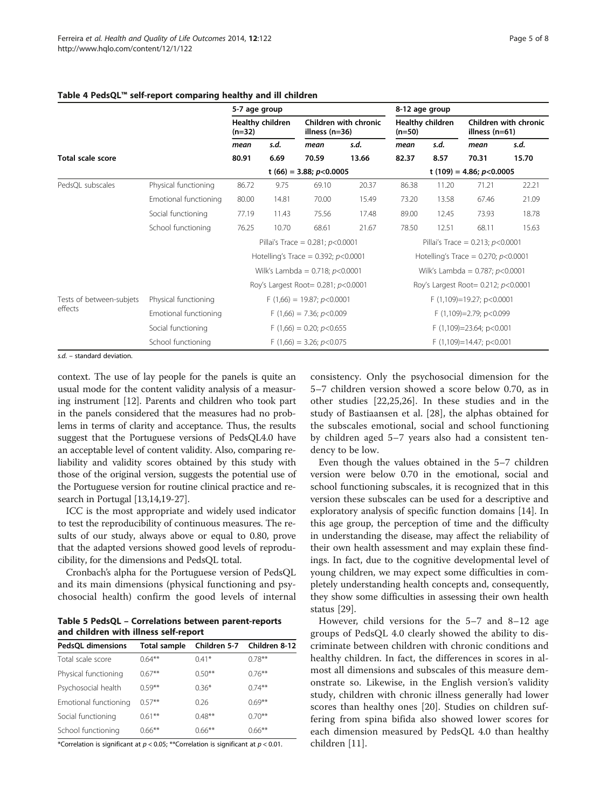|                          |                       | 5-7 age group                                                                       |       |                                         | 8-12 age group        |                                   |                            |                                           |       |  |
|--------------------------|-----------------------|-------------------------------------------------------------------------------------|-------|-----------------------------------------|-----------------------|-----------------------------------|----------------------------|-------------------------------------------|-------|--|
|                          |                       | Healthy children<br>$(n=32)$                                                        |       | illness $(n=36)$                        | Children with chronic | Healthy children<br>(n=50)        |                            | Children with chronic<br>illness $(n=61)$ |       |  |
|                          |                       | mean                                                                                | s.d.  | mean                                    | s.d.                  | mean                              | s.d.                       | mean                                      | s.d.  |  |
| <b>Total scale score</b> |                       | 80.91                                                                               | 6.69  | 70.59                                   | 13.66                 | 82.37                             | 8.57                       | 70.31                                     | 15.70 |  |
|                          |                       |                                                                                     |       | t (66) = 3.88; $p<0.0005$               |                       |                                   | t (109) = 4.86; $p<0.0005$ |                                           |       |  |
| PedsQL subscales         | Physical functioning  | 86.72                                                                               | 9.75  | 69.10                                   | 20.37                 | 86.38                             | 11.20                      | 71.21                                     | 22.21 |  |
|                          | Emotional functioning | 80.00                                                                               | 14.81 | 70.00                                   | 15.49                 | 73.20                             | 13.58                      | 67.46                                     | 21.09 |  |
|                          | Social functioning    | 77.19                                                                               | 11.43 | 75.56                                   | 17.48                 | 89.00                             | 12.45                      | 73.93                                     | 18.78 |  |
|                          | School functioning    | 76.25                                                                               | 10.70 | 68.61                                   | 21.67                 | 78.50                             | 12.51                      | 68.11                                     | 15.63 |  |
|                          |                       |                                                                                     |       | Pillai's Trace = 0.281; $p < 0.0001$    |                       |                                   |                            | Pillai's Trace = 0.213; $p < 0.0001$      |       |  |
|                          |                       |                                                                                     |       | Hotelling's Trace = 0.392; $p < 0.0001$ |                       |                                   |                            | Hotelling's Trace = 0.270; $p < 0.0001$   |       |  |
|                          |                       | Wilk's Lambda = $0.718$ ; $p < 0.0001$                                              |       |                                         |                       | Wilk's Lambda = $0.787; p<0.0001$ |                            |                                           |       |  |
|                          |                       | Roy's Largest Root= $0.281$ ; $p < 0.0001$<br>Roy's Largest Root= 0.212; $p<0.0001$ |       |                                         |                       |                                   |                            |                                           |       |  |
| Tests of between-subjets | Physical functioning  | $F(1,66) = 19.87; p < 0.0001$                                                       |       |                                         |                       | $F(1,109) = 19.27$ ; p<0.0001     |                            |                                           |       |  |
| effects                  | Emotional functioning | $F(1,66) = 7.36; p < 0.009$                                                         |       |                                         |                       | F (1,109)=2.79; p<0.099           |                            |                                           |       |  |
|                          | Social functioning    | $F(1,66) = 0.20; p < 0.655$                                                         |       |                                         |                       | $F(1,109) = 23.64$ ; p<0.001      |                            |                                           |       |  |
|                          | School functioning    |                                                                                     |       | $F(1,66) = 3.26; p < 0.075$             |                       | $F(1,109) = 14.47; p < 0.001$     |                            |                                           |       |  |

# <span id="page-4-0"></span>Table 4 PedsQL™ self-report comparing healthy and ill children

s.d. – standard deviation.

context. The use of lay people for the panels is quite an usual mode for the content validity analysis of a measuring instrument [\[12\]](#page-6-0). Parents and children who took part in the panels considered that the measures had no problems in terms of clarity and acceptance. Thus, the results suggest that the Portuguese versions of PedsQL4.0 have an acceptable level of content validity. Also, comparing reliability and validity scores obtained by this study with those of the original version, suggests the potential use of the Portuguese version for routine clinical practice and research in Portugal [[13,14,19-27\]](#page-6-0).

ICC is the most appropriate and widely used indicator to test the reproducibility of continuous measures. The results of our study, always above or equal to 0.80, prove that the adapted versions showed good levels of reproducibility, for the dimensions and PedsQL total.

Cronbach's alpha for the Portuguese version of PedsQL and its main dimensions (physical functioning and psychosocial health) confirm the good levels of internal

Table 5 PedsQL – Correlations between parent-reports and children with illness self-report

| PedsQL dimensions     | <b>Total sample</b> |           | Children 5-7 Children 8-12 |
|-----------------------|---------------------|-----------|----------------------------|
| Total scale score     | $0.64***$           | $0.41*$   | $0.78***$                  |
| Physical functioning  | $0.67***$           | $0.50***$ | $0.76***$                  |
| Psychosocial health   | $0.59***$           | $0.36*$   | $0.74***$                  |
| Emotional functioning | $0.57***$           | 0.26      | $0.69***$                  |
| Social functioning    | $0.61***$           | $0.48***$ | $0.70***$                  |
| School functioning    | $0.66***$           | 0.66**    | $0.66***$                  |

\*Correlation is significant at  $p < 0.05$ ; \*\*Correlation is significant at  $p < 0.01$ .

consistency. Only the psychosocial dimension for the 5–7 children version showed a score below 0.70, as in other studies [[22,25,26](#page-6-0)]. In these studies and in the study of Bastiaansen et al. [[28\]](#page-6-0), the alphas obtained for the subscales emotional, social and school functioning by children aged 5–7 years also had a consistent tendency to be low.

Even though the values obtained in the 5–7 children version were below 0.70 in the emotional, social and school functioning subscales, it is recognized that in this version these subscales can be used for a descriptive and exploratory analysis of specific function domains [[14](#page-6-0)]. In this age group, the perception of time and the difficulty in understanding the disease, may affect the reliability of their own health assessment and may explain these findings. In fact, due to the cognitive developmental level of young children, we may expect some difficulties in completely understanding health concepts and, consequently, they show some difficulties in assessing their own health status [\[29](#page-7-0)].

However, child versions for the 5–7 and 8–12 age groups of PedsQL 4.0 clearly showed the ability to discriminate between children with chronic conditions and healthy children. In fact, the differences in scores in almost all dimensions and subscales of this measure demonstrate so. Likewise, in the English version's validity study, children with chronic illness generally had lower scores than healthy ones [[20\]](#page-6-0). Studies on children suffering from spina bifida also showed lower scores for each dimension measured by PedsQL 4.0 than healthy children [[11\]](#page-6-0).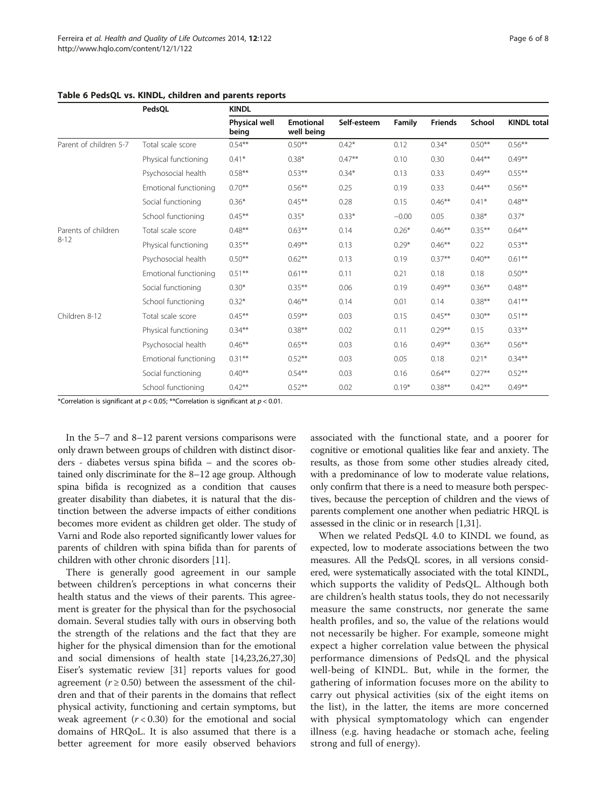<span id="page-5-0"></span>

| Table 6 PedsQL vs. KINDL, children and parents reports |  |  |  |
|--------------------------------------------------------|--|--|--|
|--------------------------------------------------------|--|--|--|

|                                 | PedsQL                | <b>KINDL</b>                  |                                |             |         |                |           |                    |
|---------------------------------|-----------------------|-------------------------------|--------------------------------|-------------|---------|----------------|-----------|--------------------|
|                                 |                       | <b>Physical well</b><br>being | <b>Emotional</b><br>well being | Self-esteem | Family  | <b>Friends</b> | School    | <b>KINDL total</b> |
| Parent of children 5-7          | Total scale score     | $0.54***$                     | $0.50**$                       | $0.42*$     | 0.12    | $0.34*$        | $0.50***$ | $0.56***$          |
|                                 | Physical functioning  | $0.41*$                       | $0.38*$                        | $0.47***$   | 0.10    | 0.30           | $0.44***$ | $0.49**$           |
|                                 | Psychosocial health   | $0.58**$                      | $0.53***$                      | $0.34*$     | 0.13    | 0.33           | $0.49***$ | $0.55***$          |
|                                 | Emotional functioning | $0.70***$                     | $0.56***$                      | 0.25        | 0.19    | 0.33           | $0.44***$ | $0.56***$          |
|                                 | Social functioning    | $0.36*$                       | $0.45***$                      | 0.28        | 0.15    | $0.46***$      | $0.41*$   | $0.48***$          |
|                                 | School functioning    | $0.45***$                     | $0.35*$                        | $0.33*$     | $-0.00$ | 0.05           | $0.38*$   | $0.37*$            |
| Parents of children<br>$8 - 12$ | Total scale score     | $0.48***$                     | $0.63***$                      | 0.14        | $0.26*$ | $0.46***$      | $0.35***$ | $0.64***$          |
|                                 | Physical functioning  | $0.35***$                     | $0.49***$                      | 0.13        | $0.29*$ | $0.46***$      | 0.22      | $0.53***$          |
|                                 | Psychosocial health   | $0.50***$                     | $0.62***$                      | 0.13        | 0.19    | $0.37**$       | $0.40**$  | $0.61***$          |
|                                 | Emotional functioning | $0.51**$                      | $0.61***$                      | 0.11        | 0.21    | 0.18           | 0.18      | $0.50**$           |
|                                 | Social functioning    | $0.30*$                       | $0.35***$                      | 0.06        | 0.19    | $0.49**$       | $0.36***$ | $0.48***$          |
|                                 | School functioning    | $0.32*$                       | $0.46***$                      | 0.14        | 0.01    | 0.14           | $0.38***$ | $0.41***$          |
| Children 8-12                   | Total scale score     | $0.45***$                     | $0.59***$                      | 0.03        | 0.15    | $0.45***$      | $0.30**$  | $0.51***$          |
|                                 | Physical functioning  | $0.34***$                     | $0.38***$                      | 0.02        | 0.11    | $0.29***$      | 0.15      | $0.33**$           |
|                                 | Psychosocial health   | $0.46***$                     | $0.65***$                      | 0.03        | 0.16    | $0.49***$      | $0.36***$ | $0.56***$          |
|                                 | Emotional functioning | $0.31**$                      | $0.52***$                      | 0.03        | 0.05    | 0.18           | $0.21*$   | $0.34***$          |
|                                 | Social functioning    | $0.40**$                      | $0.54***$                      | 0.03        | 0.16    | $0.64***$      | $0.27***$ | $0.52***$          |
|                                 | School functioning    | $0.42***$                     | $0.52***$                      | 0.02        | $0.19*$ | $0.38***$      | $0.42***$ | $0.49**$           |

\*Correlation is significant at  $p < 0.05$ ; \*\*Correlation is significant at  $p < 0.01$ .

In the 5–7 and 8–12 parent versions comparisons were only drawn between groups of children with distinct disorders - diabetes versus spina bifida – and the scores obtained only discriminate for the 8–12 age group. Although spina bifida is recognized as a condition that causes greater disability than diabetes, it is natural that the distinction between the adverse impacts of either conditions becomes more evident as children get older. The study of Varni and Rode also reported significantly lower values for parents of children with spina bifida than for parents of children with other chronic disorders [\[11\]](#page-6-0).

There is generally good agreement in our sample between children's perceptions in what concerns their health status and the views of their parents. This agreement is greater for the physical than for the psychosocial domain. Several studies tally with ours in observing both the strength of the relations and the fact that they are higher for the physical dimension than for the emotional and social dimensions of health state [[14,23](#page-6-0),[26](#page-6-0),[27](#page-6-0),[30](#page-7-0)] Eiser's systematic review [\[31\]](#page-7-0) reports values for good agreement ( $r \ge 0.50$ ) between the assessment of the children and that of their parents in the domains that reflect physical activity, functioning and certain symptoms, but weak agreement  $(r < 0.30)$  for the emotional and social domains of HRQoL. It is also assumed that there is a better agreement for more easily observed behaviors

associated with the functional state, and a poorer for cognitive or emotional qualities like fear and anxiety. The results, as those from some other studies already cited, with a predominance of low to moderate value relations, only confirm that there is a need to measure both perspectives, because the perception of children and the views of parents complement one another when pediatric HRQL is assessed in the clinic or in research [[1](#page-6-0)[,31\]](#page-7-0).

When we related PedsQL 4.0 to KINDL we found, as expected, low to moderate associations between the two measures. All the PedsQL scores, in all versions considered, were systematically associated with the total KINDL, which supports the validity of PedsQL. Although both are children's health status tools, they do not necessarily measure the same constructs, nor generate the same health profiles, and so, the value of the relations would not necessarily be higher. For example, someone might expect a higher correlation value between the physical performance dimensions of PedsQL and the physical well-being of KINDL. But, while in the former, the gathering of information focuses more on the ability to carry out physical activities (six of the eight items on the list), in the latter, the items are more concerned with physical symptomatology which can engender illness (e.g. having headache or stomach ache, feeling strong and full of energy).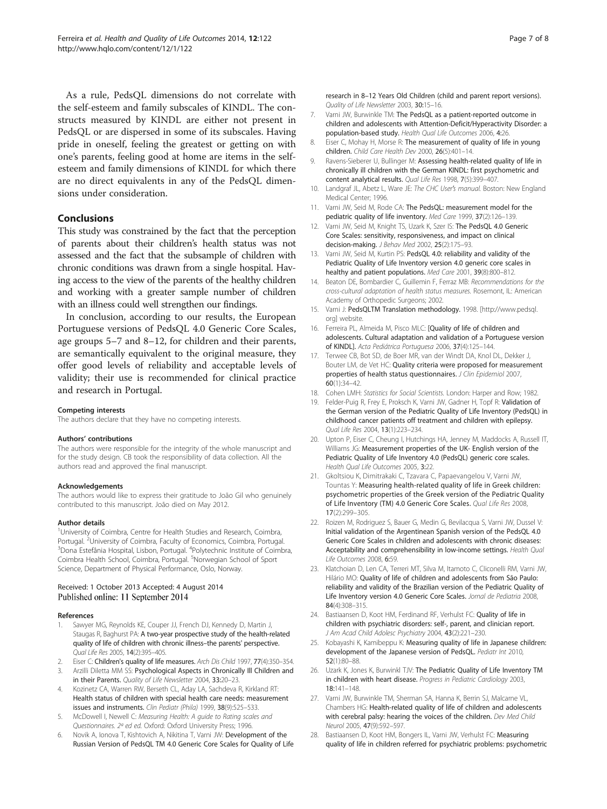<span id="page-6-0"></span>As a rule, PedsQL dimensions do not correlate with the self-esteem and family subscales of KINDL. The constructs measured by KINDL are either not present in PedsQL or are dispersed in some of its subscales. Having pride in oneself, feeling the greatest or getting on with one's parents, feeling good at home are items in the selfesteem and family dimensions of KINDL for which there are no direct equivalents in any of the PedsQL dimensions under consideration.

# Conclusions

This study was constrained by the fact that the perception of parents about their children's health status was not assessed and the fact that the subsample of children with chronic conditions was drawn from a single hospital. Having access to the view of the parents of the healthy children and working with a greater sample number of children with an illness could well strengthen our findings.

In conclusion, according to our results, the European Portuguese versions of PedsQL 4.0 Generic Core Scales, age groups 5–7 and 8–12, for children and their parents, are semantically equivalent to the original measure, they offer good levels of reliability and acceptable levels of validity; their use is recommended for clinical practice and research in Portugal.

#### Competing interests

The authors declare that they have no competing interests.

#### Authors' contributions

The authors were responsible for the integrity of the whole manuscript and for the study design. CB took the responsibility of data collection. All the authors read and approved the final manuscript.

#### Acknowledgements

The authors would like to express their gratitude to João Gil who genuinely contributed to this manuscript. João died on May 2012.

#### Author details

<sup>1</sup>University of Coimbra, Centre for Health Studies and Research, Coimbra, Portugal. <sup>2</sup>University of Coimbra, Faculty of Economics, Coimbra, Portugal.<br><sup>3</sup>Dopa Estefânia Hospital, Lisbon, Portugal. <sup>4</sup>Polytochnic Instituto of Coimb Dona Estefânia Hospital, Lisbon, Portugal. <sup>4</sup>Polytechnic Institute of Coimbra, Coimbra Health School, Coimbra, Portugal. <sup>5</sup>Norwegian School of Sport Science, Department of Physical Performance, Oslo, Norway.

#### Received: 1 October 2013 Accepted: 4 August 2014 Published online: 11 September 2014

#### References

- 1. Sawyer MG, Reynolds KE, Couper JJ, French DJ, Kennedy D, Martin J, Staugas R, Baghurst PA: A two-year prospective study of the health-related quality of life of children with chronic illness–the parents' perspective. Qual Life Res 2005, 14(2):395–405.
- 2. Eiser C: Children's quality of life measures. Arch Dis Child 1997, 77(4):350-354.
- 3. Arzilli Diletta MM SS: Psychological Aspects in Chronically Ill Children and in their Parents. Quality of Life Newsletter 2004, 33:20–23.
- Kozinetz CA, Warren RW, Berseth CL, Aday LA, Sachdeva R, Kirkland RT: Health status of children with special health care needs: measurement issues and instruments. Clin Pediatr (Phila) 1999, 38(9):525–533.
- McDowell I, Newell C: Measuring Health: A guide to Rating scales and Questionnaires. 2ª ed ed. Oxford: Oxford University Press; 1996.
- 6. Novik A, Ionova T, Kishtovich A, Nikitina T, Varni JW: Development of the Russian Version of PedsQL TM 4.0 Generic Core Scales for Quality of Life

research in 8–12 Years Old Children (child and parent report versions). Quality of Life Newsletter 2003, 30:15–16.

- 7. Varni JW, Burwinkle TM: The PedsQL as a patient-reported outcome in children and adolescents with Attention-Deficit/Hyperactivity Disorder: a population-based study. Health Qual Life Outcomes 2006, 4:26.
- Eiser C, Mohay H, Morse R: The measurement of quality of life in young children. Child Care Health Dev 2000, 26(5):401–14.
- 9. Ravens-Sieberer U, Bullinger M: Assessing health-related quality of life in chronically ill children with the German KINDL: first psychometric and content analytical results. Qual Life Res 1998, 7(5):399–407.
- 10. Landgraf JL, Abetz L, Ware JE: The CHC User's manual. Boston: New England Medical Center; 1996.
- 11. Varni JW, Seid M, Rode CA: The PedsQL: measurement model for the pediatric quality of life inventory. Med Care 1999, 37(2):126–139.
- 12. Varni JW, Seid M, Knight TS, Uzark K, Szer IS: The PedsOL 4.0 Generic Core Scales: sensitivity, responsiveness, and impact on clinical decision-making. J Behav Med 2002, 25(2):175–93.
- 13. Varni JW, Seid M, Kurtin PS: PedsQL 4.0: reliability and validity of the Pediatric Quality of Life Inventory version 4.0 generic core scales in healthy and patient populations. Med Care 2001, 39(8):800-812.
- 14. Beaton DE, Bombardier C, Guillemin F, Ferraz MB: Recommendations for the cross-cultural adaptation of health status measures. Rosemont, IL: American Academy of Orthopedic Surgeons; 2002.
- 15. Varni J: PedsQLTM Translation methodology. 1998. [[http://www.pedsql.](http://www.pedsql.org) [org](http://www.pedsql.org)] website.
- 16. Ferreira PL, Almeida M, Pisco MLC: [Quality of life of children and adolescents. Cultural adaptation and validation of a Portuguese version of KINDL]. Acta Pediátrica Portuguesa 2006, 37(4):125–144.
- 17. Terwee CB, Bot SD, de Boer MR, van der Windt DA, Knol DL, Dekker J, Bouter LM, de Vet HC: Quality criteria were proposed for measurement properties of health status questionnaires. J Clin Epidemiol 2007, 60(1):34–42.
- 18. Cohen LMH: Statistics for Social Scientists. London: Harper and Row; 1982.
- 19. Felder-Puig R, Frey E, Proksch K, Varni JW, Gadner H, Topf R: Validation of the German version of the Pediatric Quality of Life Inventory (PedsQL) in childhood cancer patients off treatment and children with epilepsy. Qual Life Res 2004, 13(1):223–234.
- 20. Upton P, Eiser C, Cheung I, Hutchings HA, Jenney M, Maddocks A, Russell IT, Williams JG: Measurement properties of the UK- English version of the Pediatric Quality of Life Inventory 4.0 (PedsQL) generic core scales. Health Qual Life Outcomes 2005, 3:22.
- 21. Gkoltsiou K, Dimitrakaki C, Tzavara C, Papaevangelou V, Varni JW, Tountas Y: Measuring health-related quality of life in Greek children: psychometric properties of the Greek version of the Pediatric Quality of Life Inventory (TM) 4.0 Generic Core Scales. Qual Life Res 2008, 17(2):299–305.
- 22. Roizen M, Rodriguez S, Bauer G, Medin G, Bevilacqua S, Varni JW, Dussel V: Initial validation of the Argentinean Spanish version of the PedsQL 4.0 Generic Core Scales in children and adolescents with chronic diseases: Acceptability and comprehensibility in low-income settings. Health Qual Life Outcomes 2008, 6:59.
- 23. Klatchoian D, Len CA, Terreri MT, Silva M, Itamoto C, CIiconelli RM, Varni JW, Hilário MO: Quality of life of children and adolescents from São Paulo: reliability and validity of the Brazilian version of the Pediatric Quality of Life Inventory version 4.0 Generic Core Scales. Jornal de Pediatria 2008, 84(4):308–315.
- 24. Bastiaansen D, Koot HM, Ferdinand RF, Verhulst FC: Quality of life in children with psychiatric disorders: self-, parent, and clinician report. J Am Acad Child Adolesc Psychiatry 2004, 43(2):221–230.
- 25. Kobayashi K, Kamibeppu K: Measuring quality of life in Japanese children: development of the Japanese version of PedsQL. Pediatr Int 2010, 52(1):80–88.
- 26. Uzark K, Jones K, Burwinkl TJV: The Pediatric Quality of Life Inventory TM in children with heart disease. Progress in Pediatric Cardiology 2003, 18:141–148.
- 27. Varni JW, Burwinkle TM, Sherman SA, Hanna K, Berrin SJ, Malcarne VL, Chambers HG: Health-related quality of life of children and adolescents with cerebral palsy: hearing the voices of the children. Dev Med Child Neurol 2005, 47(9):592–597.
- 28. Bastiaansen D, Koot HM, Bongers IL, Varni JW, Verhulst FC: Measuring quality of life in children referred for psychiatric problems: psychometric